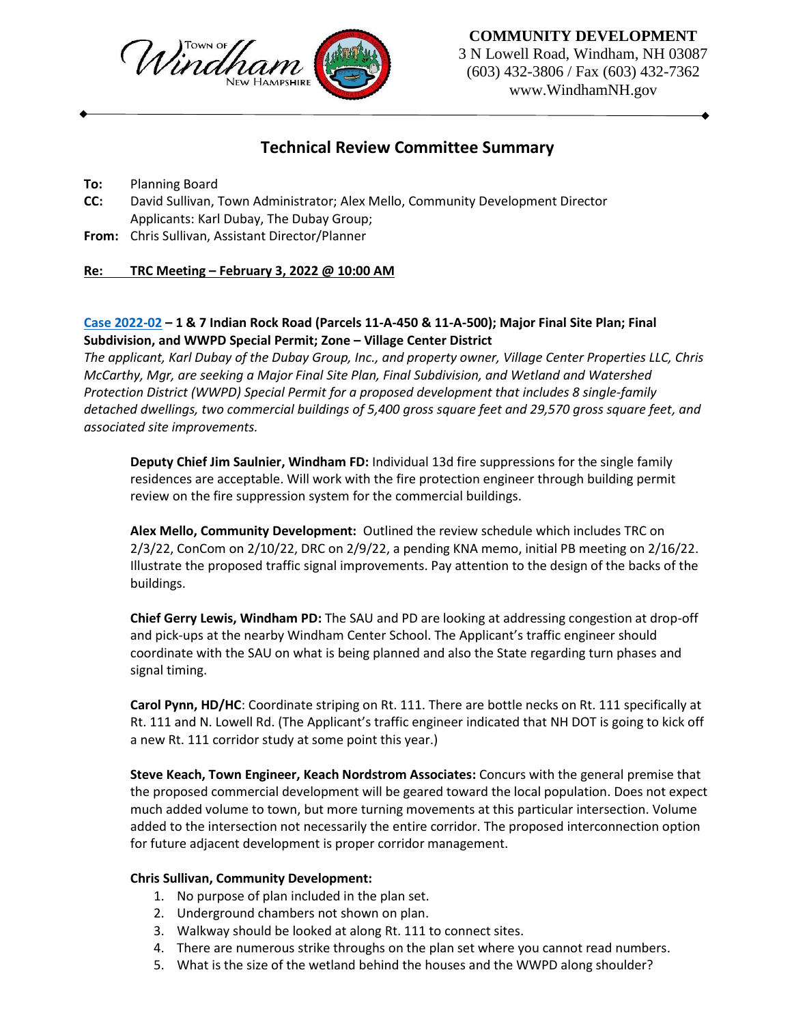

#### **COMMUNITY DEVELOPMENT**

3 N Lowell Road, Windham, NH 03087 (603) 432-3806 / Fax (603) 432-7362 www.WindhamNH.gov

# **Technical Review Committee Summary**

**To:** Planning Board

- **CC:** David Sullivan, Town Administrator; Alex Mello, Community Development Director Applicants: Karl Dubay, The Dubay Group;
- **From:** Chris Sullivan, Assistant Director/Planner

### **Re: TRC Meeting – February 3, 2022 @ 10:00 AM**

## **Cas[e 2022-](https://www.windhamnh.gov/DocumentCenter/Index/894)02 – 1 & 7 Indian Rock Road (Parcels 11-A-450 & 11-A-500); Major Final Site Plan; Final Subdivision, and WWPD Special Permit; Zone – Village Center District**

*The applicant, Karl Dubay of the Dubay Group, Inc., and property owner, Village Center Properties LLC, Chris McCarthy, Mgr, are seeking a Major Final Site Plan, Final Subdivision, and Wetland and Watershed Protection District (WWPD) Special Permit for a proposed development that includes 8 single-family detached dwellings, two commercial buildings of 5,400 gross square feet and 29,570 gross square feet, and associated site improvements.*

**Deputy Chief Jim Saulnier, Windham FD:** Individual 13d fire suppressions for the single family residences are acceptable. Will work with the fire protection engineer through building permit review on the fire suppression system for the commercial buildings.

**Alex Mello, Community Development:** Outlined the review schedule which includes TRC on 2/3/22, ConCom on 2/10/22, DRC on 2/9/22, a pending KNA memo, initial PB meeting on 2/16/22. Illustrate the proposed traffic signal improvements. Pay attention to the design of the backs of the buildings.

**Chief Gerry Lewis, Windham PD:** The SAU and PD are looking at addressing congestion at drop-off and pick-ups at the nearby Windham Center School. The Applicant's traffic engineer should coordinate with the SAU on what is being planned and also the State regarding turn phases and signal timing.

**Carol Pynn, HD/HC**: Coordinate striping on Rt. 111. There are bottle necks on Rt. 111 specifically at Rt. 111 and N. Lowell Rd. (The Applicant's traffic engineer indicated that NH DOT is going to kick off a new Rt. 111 corridor study at some point this year.)

**Steve Keach, Town Engineer, Keach Nordstrom Associates:** Concurs with the general premise that the proposed commercial development will be geared toward the local population. Does not expect much added volume to town, but more turning movements at this particular intersection. Volume added to the intersection not necessarily the entire corridor. The proposed interconnection option for future adjacent development is proper corridor management.

#### **Chris Sullivan, Community Development:**

- 1. No purpose of plan included in the plan set.
- 2. Underground chambers not shown on plan.
- 3. Walkway should be looked at along Rt. 111 to connect sites.
- 4. There are numerous strike throughs on the plan set where you cannot read numbers.
- 5. What is the size of the wetland behind the houses and the WWPD along shoulder?